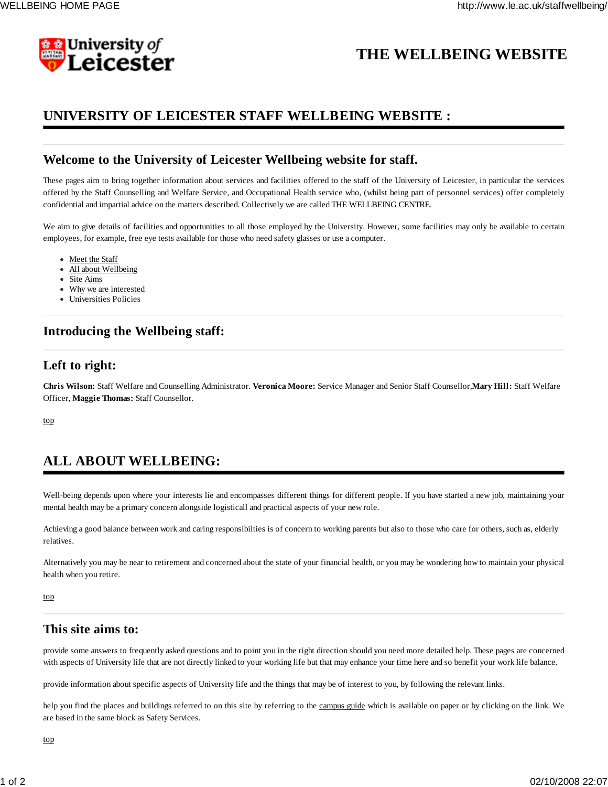

# **THE WELLBEING WEBSITE**

### **UNIVERSITY OF LEICESTER STAFF WELLBEING WEBSITE :**

### **Welcome to the University of Leicester Wellbeing website for staff.**

These pages aim to bring together information about services and facilities offered to the staff of the University of Leicester, in particular the services offered by the Staff Counselling and Welfare Service, and Occupational Health service who, (whilst being part of personnel services) offer completely confidential and impartial advice on the matters described. Collectively we are called THE WELLBEING CENTRE.

We aim to give details of facilities and opportunities to all those employed by the University. However, some facilities may only be available to certain employees, for example, free eye tests available for those who need safety glasses or use a computer.

- Meet the Staff
- All about Wellbeing
- Site Aims
- Why we are interested
- Universities Policies

### **Introducing the Wellbeing staff:**

### **Left to right:**

**Chris Wilson:** Staff Welfare and Counselling Administrator. **Veronica Moore:** Service Manager and Senior Staff Counsellor,**Mary Hill:** Staff Welfare Officer, **Maggie Thomas:** Staff Counsellor.

top

# **ALL ABOUT WELLBEING:**

Well-being depends upon where your interests lie and encompasses different things for different people. If you have started a new job, maintaining your mental health may be a primary concern alongside logisticall and practical aspects of your new role.

Achieving a good balance between work and caring responsibilties is of concern to working parents but also to those who care for others, such as, elderly relatives.

Alternatively you may be near to retirement and concerned about the state of your financial health, or you may be wondering how to maintain your physical health when you retire.

top

### **This site aims to:**

provide some answers to frequently asked questions and to point you in the right direction should you need more detailed help. These pages are concerned with aspects of University life that are not directly linked to your working life but that may enhance your time here and so benefit your work life balance.

provide information about specific aspects of University life and the things that may be of interest to you, by following the relevant links.

help you find the places and buildings referred to on this site by referring to the campus guide which is available on paper or by clicking on the link. We are based in the same block as Safety Services.

top